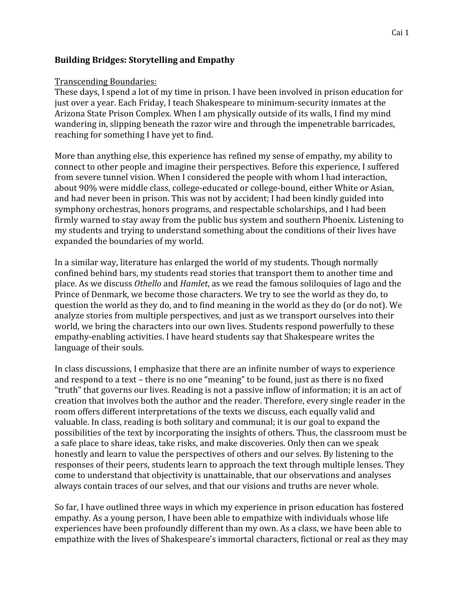# **Building Bridges: Storytelling and Empathy**

#### Transcending Boundaries:

These days, I spend a lot of my time in prison. I have been involved in prison education for just over a year. Each Friday, I teach Shakespeare to minimum-security inmates at the Arizona State Prison Complex. When I am physically outside of its walls, I find my mind wandering in, slipping beneath the razor wire and through the impenetrable barricades, reaching for something I have yet to find.

More than anything else, this experience has refined my sense of empathy, my ability to connect to other people and imagine their perspectives. Before this experience, I suffered from severe tunnel vision. When I considered the people with whom I had interaction, about 90% were middle class, college-educated or college-bound, either White or Asian, and had never been in prison. This was not by accident; I had been kindly guided into symphony orchestras, honors programs, and respectable scholarships, and I had been firmly warned to stay away from the public bus system and southern Phoenix. Listening to my students and trying to understand something about the conditions of their lives have expanded the boundaries of my world.

In a similar way, literature has enlarged the world of my students. Though normally confined behind bars, my students read stories that transport them to another time and place. As we discuss *Othello* and *Hamlet*, as we read the famous soliloquies of Iago and the Prince of Denmark, we become those characters. We try to see the world as they do, to question the world as they do, and to find meaning in the world as they do (or do not). We analyze stories from multiple perspectives, and just as we transport ourselves into their world, we bring the characters into our own lives. Students respond powerfully to these empathy-enabling activities. I have heard students say that Shakespeare writes the language of their souls.

In class discussions, I emphasize that there are an infinite number of ways to experience and respond to a text – there is no one "meaning" to be found, just as there is no fixed "truth" that governs our lives. Reading is not a passive inflow of information; it is an act of creation that involves both the author and the reader. Therefore, every single reader in the room offers different interpretations of the texts we discuss, each equally valid and valuable. In class, reading is both solitary and communal; it is our goal to expand the possibilities of the text by incorporating the insights of others. Thus, the classroom must be a safe place to share ideas, take risks, and make discoveries. Only then can we speak honestly and learn to value the perspectives of others and our selves. By listening to the responses of their peers, students learn to approach the text through multiple lenses. They come to understand that objectivity is unattainable, that our observations and analyses always contain traces of our selves, and that our visions and truths are never whole.

So far, I have outlined three ways in which my experience in prison education has fostered empathy. As a young person, I have been able to empathize with individuals whose life experiences have been profoundly different than my own. As a class, we have been able to empathize with the lives of Shakespeare's immortal characters, fictional or real as they may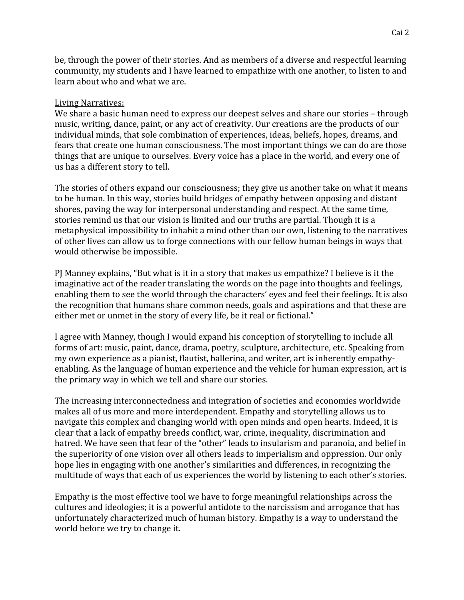be, through the power of their stories. And as members of a diverse and respectful learning community, my students and I have learned to empathize with one another, to listen to and learn about who and what we are.

### Living Narratives:

We share a basic human need to express our deepest selves and share our stories – through music, writing, dance, paint, or any act of creativity. Our creations are the products of our individual minds, that sole combination of experiences, ideas, beliefs, hopes, dreams, and fears that create one human consciousness. The most important things we can do are those things that are unique to ourselves. Every voice has a place in the world, and every one of us has a different story to tell.

The stories of others expand our consciousness; they give us another take on what it means to be human. In this way, stories build bridges of empathy between opposing and distant shores, paving the way for interpersonal understanding and respect. At the same time, stories remind us that our vision is limited and our truths are partial. Though it is a metaphysical impossibility to inhabit a mind other than our own, listening to the narratives of other lives can allow us to forge connections with our fellow human beings in ways that would otherwise be impossible.

PJ Manney explains, "But what is it in a story that makes us empathize? I believe is it the imaginative act of the reader translating the words on the page into thoughts and feelings, enabling them to see the world through the characters' eyes and feel their feelings. It is also the recognition that humans share common needs, goals and aspirations and that these are either met or unmet in the story of every life, be it real or fictional."

I agree with Manney, though I would expand his conception of storytelling to include all forms of art: music, paint, dance, drama, poetry, sculpture, architecture, etc. Speaking from my own experience as a pianist, flautist, ballerina, and writer, art is inherently empathyenabling. As the language of human experience and the vehicle for human expression, art is the primary way in which we tell and share our stories.

The increasing interconnectedness and integration of societies and economies worldwide makes all of us more and more interdependent. Empathy and storytelling allows us to navigate this complex and changing world with open minds and open hearts. Indeed, it is clear that a lack of empathy breeds conflict, war, crime, inequality, discrimination and hatred. We have seen that fear of the "other" leads to insularism and paranoia, and belief in the superiority of one vision over all others leads to imperialism and oppression. Our only hope lies in engaging with one another's similarities and differences, in recognizing the multitude of ways that each of us experiences the world by listening to each other's stories.

Empathy is the most effective tool we have to forge meaningful relationships across the cultures and ideologies; it is a powerful antidote to the narcissism and arrogance that has unfortunately characterized much of human history. Empathy is a way to understand the world before we try to change it.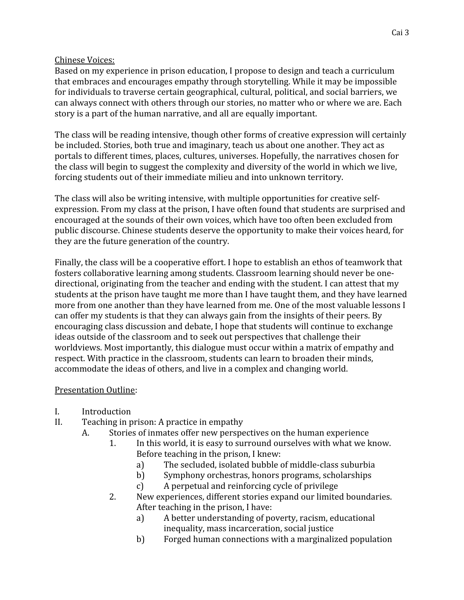# Chinese Voices:

Based on my experience in prison education, I propose to design and teach a curriculum that embraces and encourages empathy through storytelling. While it may be impossible for individuals to traverse certain geographical, cultural, political, and social barriers, we can always connect with others through our stories, no matter who or where we are. Each story is a part of the human narrative, and all are equally important.

The class will be reading intensive, though other forms of creative expression will certainly be included. Stories, both true and imaginary, teach us about one another. They act as portals to different times, places, cultures, universes. Hopefully, the narratives chosen for the class will begin to suggest the complexity and diversity of the world in which we live, forcing students out of their immediate milieu and into unknown territory.

The class will also be writing intensive, with multiple opportunities for creative selfexpression. From my class at the prison, I have often found that students are surprised and encouraged at the sounds of their own voices, which have too often been excluded from public discourse. Chinese students deserve the opportunity to make their voices heard, for they are the future generation of the country.

Finally, the class will be a cooperative effort. I hope to establish an ethos of teamwork that fosters collaborative learning among students. Classroom learning should never be onedirectional, originating from the teacher and ending with the student. I can attest that my students at the prison have taught me more than I have taught them, and they have learned more from one another than they have learned from me. One of the most valuable lessons I can offer my students is that they can always gain from the insights of their peers. By encouraging class discussion and debate, I hope that students will continue to exchange ideas outside of the classroom and to seek out perspectives that challenge their worldviews. Most importantly, this dialogue must occur within a matrix of empathy and respect. With practice in the classroom, students can learn to broaden their minds, accommodate the ideas of others, and live in a complex and changing world.

# Presentation Outline:

- I. Introduction
- II. Teaching in prison: A practice in empathy
	- A. Stories of inmates offer new perspectives on the human experience
		- 1. In this world, it is easy to surround ourselves with what we know. Before teaching in the prison, I knew:
			- a) The secluded, isolated bubble of middle-class suburbia
			- b) Symphony orchestras, honors programs, scholarships
			- c) A perpetual and reinforcing cycle of privilege
		- 2. New experiences, different stories expand our limited boundaries. After teaching in the prison, I have:
			- a) A better understanding of poverty, racism, educational inequality, mass incarceration, social justice
			- b) Forged human connections with a marginalized population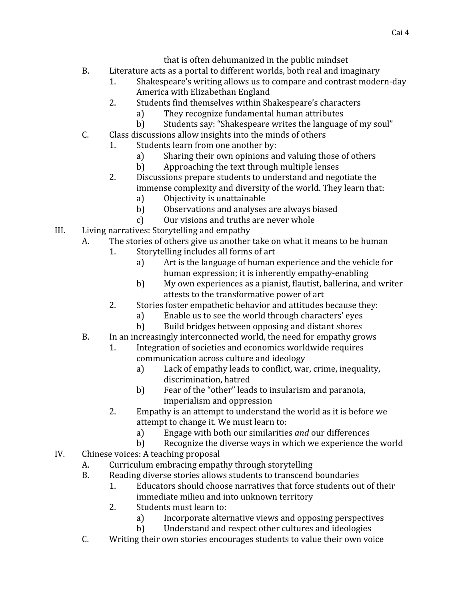that is often dehumanized in the public mindset

- B. Literature acts as a portal to different worlds, both real and imaginary
	- 1. Shakespeare's writing allows us to compare and contrast modern-day America with Elizabethan England
	- 2. Students find themselves within Shakespeare's characters
		- a) They recognize fundamental human attributes
		- b) Students say: "Shakespeare writes the language of my soul"
- C. Class discussions allow insights into the minds of others
	- 1. Students learn from one another by:
		- a) Sharing their own opinions and valuing those of others
		- b) Approaching the text through multiple lenses
		- 2. Discussions prepare students to understand and negotiate the immense complexity and diversity of the world. They learn that:
			- a) Objectivity is unattainable
			- b) Observations and analyses are always biased
			- c) Our visions and truths are never whole
- III. Living narratives: Storytelling and empathy
	- A. The stories of others give us another take on what it means to be human
		- 1. Storytelling includes all forms of art
			- a) Art is the language of human experience and the vehicle for human expression; it is inherently empathy-enabling
			- b) My own experiences as a pianist, flautist, ballerina, and writer attests to the transformative power of art
		- 2. Stories foster empathetic behavior and attitudes because they:
			- a) Enable us to see the world through characters' eyes
			- b) Build bridges between opposing and distant shores
	- B. In an increasingly interconnected world, the need for empathy grows
		- 1. Integration of societies and economics worldwide requires communication across culture and ideology
			- a) Lack of empathy leads to conflict, war, crime, inequality, discrimination, hatred
			- b) Fear of the "other" leads to insularism and paranoia, imperialism and oppression
		- 2. Empathy is an attempt to understand the world as it is before we attempt to change it. We must learn to:
			- a) Engage with both our similarities *and* our differences
			- b) Recognize the diverse ways in which we experience the world
- IV. Chinese voices: A teaching proposal
	- A. Curriculum embracing empathy through storytelling
	- B. Reading diverse stories allows students to transcend boundaries
		- 1. Educators should choose narratives that force students out of their immediate milieu and into unknown territory
		- 2. Students must learn to:
			- a) Incorporate alternative views and opposing perspectives
			- b) Understand and respect other cultures and ideologies
	- C. Writing their own stories encourages students to value their own voice